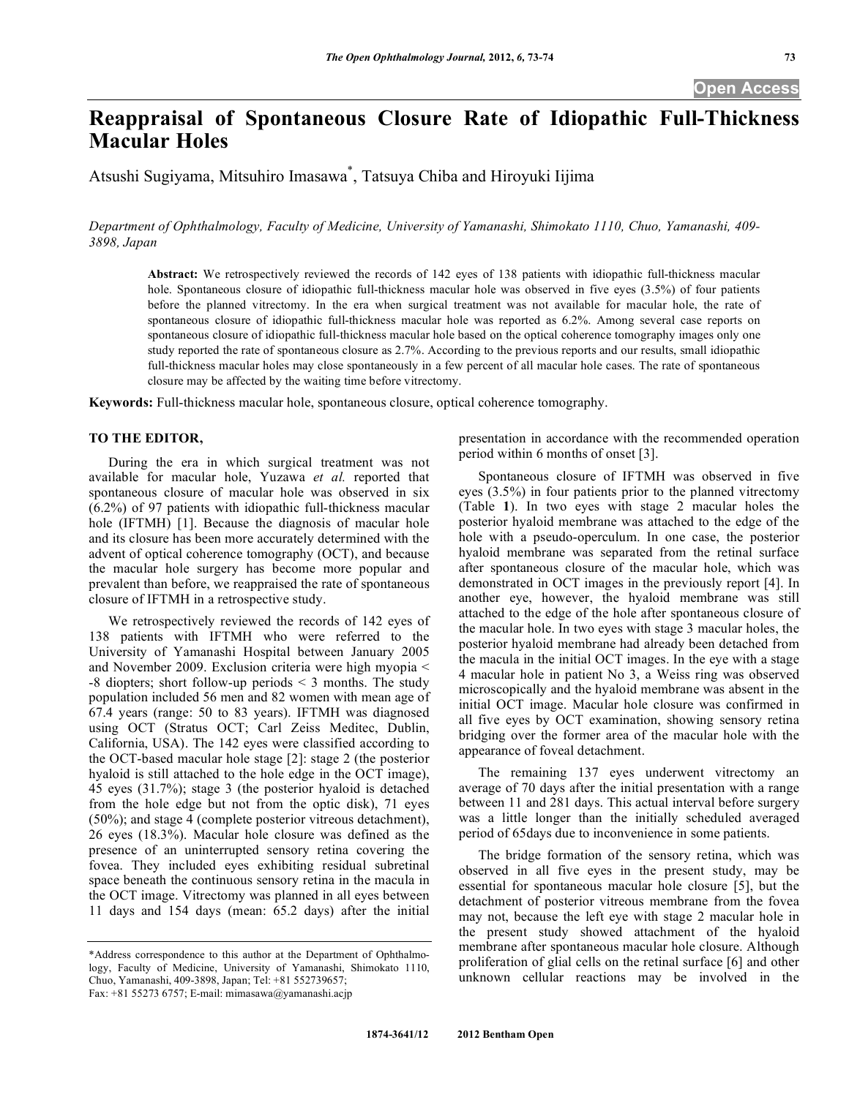**Open Access** 

# **Reappraisal of Spontaneous Closure Rate of Idiopathic Full-Thickness Macular Holes**

Atsushi Sugiyama, Mitsuhiro Imasawa\* , Tatsuya Chiba and Hiroyuki Iijima

*Department of Ophthalmology, Faculty of Medicine, University of Yamanashi, Shimokato 1110, Chuo, Yamanashi, 409- 3898, Japan* 

**Abstract:** We retrospectively reviewed the records of 142 eyes of 138 patients with idiopathic full-thickness macular hole. Spontaneous closure of idiopathic full-thickness macular hole was observed in five eyes (3.5%) of four patients before the planned vitrectomy. In the era when surgical treatment was not available for macular hole, the rate of spontaneous closure of idiopathic full-thickness macular hole was reported as 6.2%. Among several case reports on spontaneous closure of idiopathic full-thickness macular hole based on the optical coherence tomography images only one study reported the rate of spontaneous closure as 2.7%. According to the previous reports and our results, small idiopathic full-thickness macular holes may close spontaneously in a few percent of all macular hole cases. The rate of spontaneous closure may be affected by the waiting time before vitrectomy.

**Keywords:** Full-thickness macular hole, spontaneous closure, optical coherence tomography.

## **TO THE EDITOR,**

 During the era in which surgical treatment was not available for macular hole, Yuzawa *et al.* reported that spontaneous closure of macular hole was observed in six (6.2%) of 97 patients with idiopathic full-thickness macular hole (IFTMH) [1]. Because the diagnosis of macular hole and its closure has been more accurately determined with the advent of optical coherence tomography (OCT), and because the macular hole surgery has become more popular and prevalent than before, we reappraised the rate of spontaneous closure of IFTMH in a retrospective study.

 We retrospectively reviewed the records of 142 eyes of 138 patients with IFTMH who were referred to the University of Yamanashi Hospital between January 2005 and November 2009. Exclusion criteria were high myopia < -8 diopters; short follow-up periods < 3 months. The study population included 56 men and 82 women with mean age of 67.4 years (range: 50 to 83 years). IFTMH was diagnosed using OCT (Stratus OCT; Carl Zeiss Meditec, Dublin, California, USA). The 142 eyes were classified according to the OCT-based macular hole stage [2]: stage 2 (the posterior hyaloid is still attached to the hole edge in the OCT image), 45 eyes (31.7%); stage 3 (the posterior hyaloid is detached from the hole edge but not from the optic disk), 71 eyes (50%); and stage 4 (complete posterior vitreous detachment), 26 eyes (18.3%). Macular hole closure was defined as the presence of an uninterrupted sensory retina covering the fovea. They included eyes exhibiting residual subretinal space beneath the continuous sensory retina in the macula in the OCT image. Vitrectomy was planned in all eyes between 11 days and 154 days (mean: 65.2 days) after the initial

presentation in accordance with the recommended operation period within 6 months of onset [3].

 Spontaneous closure of IFTMH was observed in five eyes (3.5%) in four patients prior to the planned vitrectomy (Table **1**). In two eyes with stage 2 macular holes the posterior hyaloid membrane was attached to the edge of the hole with a pseudo-operculum. In one case, the posterior hyaloid membrane was separated from the retinal surface after spontaneous closure of the macular hole, which was demonstrated in OCT images in the previously report [4]. In another eye, however, the hyaloid membrane was still attached to the edge of the hole after spontaneous closure of the macular hole. In two eyes with stage 3 macular holes, the posterior hyaloid membrane had already been detached from the macula in the initial OCT images. In the eye with a stage 4 macular hole in patient No 3, a Weiss ring was observed microscopically and the hyaloid membrane was absent in the initial OCT image. Macular hole closure was confirmed in all five eyes by OCT examination, showing sensory retina bridging over the former area of the macular hole with the appearance of foveal detachment.

 The remaining 137 eyes underwent vitrectomy an average of 70 days after the initial presentation with a range between 11 and 281 days. This actual interval before surgery was a little longer than the initially scheduled averaged period of 65days due to inconvenience in some patients.

 The bridge formation of the sensory retina, which was observed in all five eyes in the present study, may be essential for spontaneous macular hole closure [5], but the detachment of posterior vitreous membrane from the fovea may not, because the left eye with stage 2 macular hole in the present study showed attachment of the hyaloid membrane after spontaneous macular hole closure. Although proliferation of glial cells on the retinal surface [6] and other unknown cellular reactions may be involved in the

<sup>\*</sup>Address correspondence to this author at the Department of Ophthalmology, Faculty of Medicine, University of Yamanashi, Shimokato 1110, Chuo, Yamanashi, 409-3898, Japan; Tel: +81 552739657; Fax: +81 55273 6757; E-mail: mimasawa@yamanashi.acjp